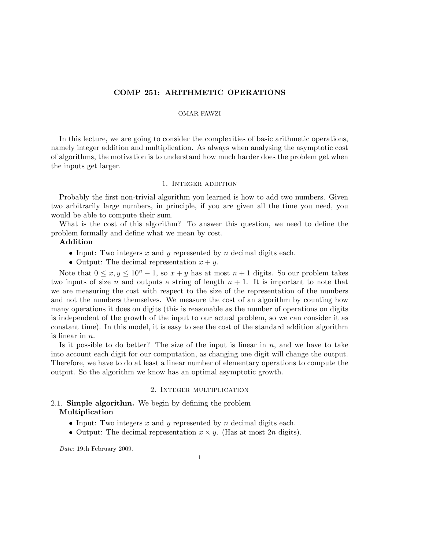## COMP 251: ARITHMETIC OPERATIONS

## OMAR FAWZI

In this lecture, we are going to consider the complexities of basic arithmetic operations, namely integer addition and multiplication. As always when analysing the asymptotic cost of algorithms, the motivation is to understand how much harder does the problem get when the inputs get larger.

### 1. Integer addition

Probably the first non-trivial algorithm you learned is how to add two numbers. Given two arbitrarily large numbers, in principle, if you are given all the time you need, you would be able to compute their sum.

What is the cost of this algorithm? To answer this question, we need to define the problem formally and define what we mean by cost.

# Addition

- Input: Two integers  $x$  and  $y$  represented by  $n$  decimal digits each.
- Output: The decimal representation  $x + y$ .

Note that  $0 \le x, y \le 10^n - 1$ , so  $x + y$  has at most  $n + 1$  digits. So our problem takes two inputs of size n and outputs a string of length  $n + 1$ . It is important to note that we are measuring the cost with respect to the size of the representation of the numbers and not the numbers themselves. We measure the cost of an algorithm by counting how many operations it does on digits (this is reasonable as the number of operations on digits is independent of the growth of the input to our actual problem, so we can consider it as constant time). In this model, it is easy to see the cost of the standard addition algorithm is linear in  $n$ .

Is it possible to do better? The size of the input is linear in  $n$ , and we have to take into account each digit for our computation, as changing one digit will change the output. Therefore, we have to do at least a linear number of elementary operations to compute the output. So the algorithm we know has an optimal asymptotic growth.

## 2. Integer multiplication

# 2.1. **Simple algorithm.** We begin by defining the problem Multiplication

- Input: Two integers x and y represented by n decimal digits each.
- Output: The decimal representation  $x \times y$ . (Has at most 2n digits).

Date: 19th February 2009.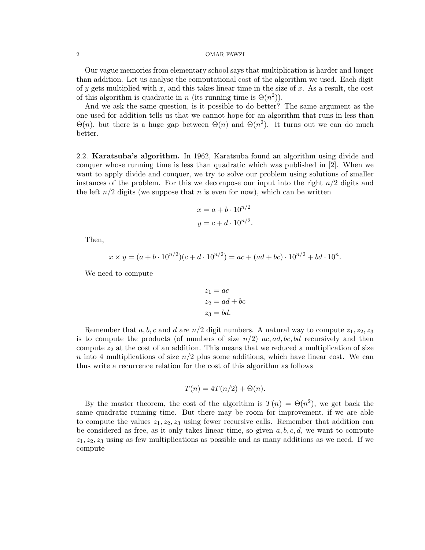#### 2 OMAR FAWZI

Our vague memories from elementary school says that multiplication is harder and longer than addition. Let us analyse the computational cost of the algorithm we used. Each digit of y gets multiplied with x, and this takes linear time in the size of x. As a result, the cost of this algorithm is quadratic in n (its running time is  $\Theta(n^2)$ ).

And we ask the same question, is it possible to do better? The same argument as the one used for addition tells us that we cannot hope for an algorithm that runs in less than  $\Theta(n)$ , but there is a huge gap between  $\Theta(n)$  and  $\Theta(n^2)$ . It turns out we can do much better.

2.2. Karatsuba's algorithm. In 1962, Karatsuba found an algorithm using divide and conquer whose running time is less than quadratic which was published in [2]. When we want to apply divide and conquer, we try to solve our problem using solutions of smaller instances of the problem. For this we decompose our input into the right  $n/2$  digits and the left  $n/2$  digits (we suppose that n is even for now), which can be written

$$
x = a + b \cdot 10^{n/2}
$$

$$
y = c + d \cdot 10^{n/2}.
$$

Then,

$$
x \times y = (a + b \cdot 10^{n/2})(c + d \cdot 10^{n/2}) = ac + (ad + bc) \cdot 10^{n/2} + bd \cdot 10^n.
$$

We need to compute

$$
z_1 = ac
$$
  
\n
$$
z_2 = ad + bc
$$
  
\n
$$
z_3 = bd.
$$

Remember that a, b, c and d are  $n/2$  digit numbers. A natural way to compute  $z_1, z_2, z_3$ is to compute the products (of numbers of size  $n/2$ ) ac, ad, bc, bd recursively and then compute  $z_2$  at the cost of an addition. This means that we reduced a multiplication of size n into 4 multiplications of size  $n/2$  plus some additions, which have linear cost. We can thus write a recurrence relation for the cost of this algorithm as follows

$$
T(n) = 4T(n/2) + \Theta(n).
$$

By the master theorem, the cost of the algorithm is  $T(n) = \Theta(n^2)$ , we get back the same quadratic running time. But there may be room for improvement, if we are able to compute the values  $z_1, z_2, z_3$  using fewer recursive calls. Remember that addition can be considered as free, as it only takes linear time, so given  $a, b, c, d$ , we want to compute  $z_1, z_2, z_3$  using as few multiplications as possible and as many additions as we need. If we compute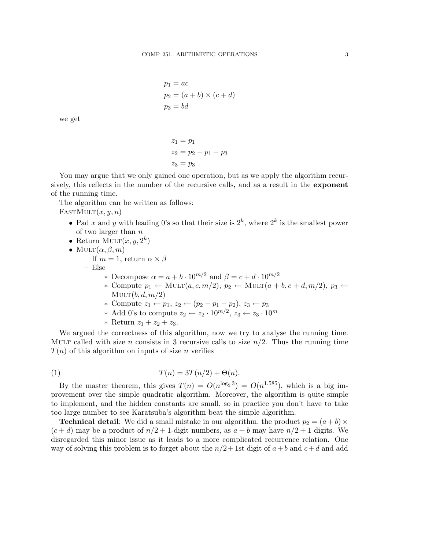$$
p_1 = ac
$$
  
\n
$$
p_2 = (a + b) \times (c + d)
$$
  
\n
$$
p_3 = bd
$$

we get

$$
z_1 = p_1
$$
  
\n
$$
z_2 = p_2 - p_1 - p_3
$$
  
\n
$$
z_3 = p_3
$$

You may argue that we only gained one operation, but as we apply the algorithm recursively, this reflects in the number of the recursive calls, and as a result in the exponent of the running time.

The algorithm can be written as follows:

 $FastMULT(x, y, n)$ 

- Pad x and y with leading 0's so that their size is  $2^k$ , where  $2^k$  is the smallest power of two larger than  $n$
- Return MULT $(x, y, 2^k)$
- MULT $(\alpha, \beta, m)$ 
	- If  $m = 1$ , return  $\alpha \times \beta$
	- Else
		- \* Decompose  $\alpha = a + b \cdot 10^{m/2}$  and  $\beta = c + d \cdot 10^{m/2}$
		- $\ast$  Compute  $p_1 \leftarrow \text{MULT}(a, c, m/2), p_2 \leftarrow \text{MULT}(a + b, c + d, m/2), p_3 \leftarrow$  $MULT(b, d, m/2)$
		- ∗ Compute z<sup>1</sup> ← p1, z<sup>2</sup> ← (p<sup>2</sup> − p<sup>1</sup> − p2), z<sup>3</sup> ← p<sup>3</sup>
		- ∗ Add 0's to compute  $z_2 \leftarrow z_2 \cdot 10^{m/2}, z_3 \leftarrow z_3 \cdot 10^m$

\* Return 
$$
z_1 + z_2 + z_3
$$
.

We argued the correctness of this algorithm, now we try to analyse the running time. MULT called with size n consists in 3 recursive calls to size  $n/2$ . Thus the running time  $T(n)$  of this algorithm on inputs of size *n* verifies

$$
(1) \t\t T(n) = 3T(n/2) + \Theta(n).
$$

By the master theorem, this gives  $T(n) = O(n^{\log_2 3}) = O(n^{1.585})$ , which is a big improvement over the simple quadratic algorithm. Moreover, the algorithm is quite simple to implement, and the hidden constants are small, so in practice you don't have to take too large number to see Karatsuba's algorithm beat the simple algorithm.

**Technical detail:** We did a small mistake in our algorithm, the product  $p_2 = (a + b) \times$  $(c+d)$  may be a product of  $n/2+1$ -digit numbers, as  $a+b$  may have  $n/2+1$  digits. We disregarded this minor issue as it leads to a more complicated recurrence relation. One way of solving this problem is to forget about the  $n/2+1$ st digit of  $a+b$  and  $c+d$  and add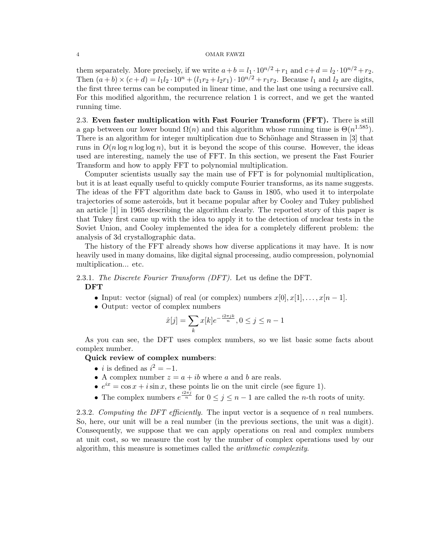#### 4 OMAR FAWZI

them separately. More precisely, if we write  $a+b = l_1 \cdot 10^{n/2} + r_1$  and  $c+d = l_2 \cdot 10^{n/2} + r_2$ . Then  $(a + b) \times (c + d) = l_1l_2 \cdot 10^n + (l_1r_2 + l_2r_1) \cdot 10^{n/2} + r_1r_2$ . Because  $l_1$  and  $l_2$  are digits, the first three terms can be computed in linear time, and the last one using a recursive call. For this modified algorithm, the recurrence relation 1 is correct, and we get the wanted running time.

2.3. Even faster multiplication with Fast Fourier Transform (FFT). There is still a gap between our lower bound  $\Omega(n)$  and this algorithm whose running time is  $\Theta(n^{1.585})$ . There is an algorithm for integer multiplication due to Schönhage and Strassen in [3] that runs in  $O(n \log n \log \log n)$ , but it is beyond the scope of this course. However, the ideas used are interesting, namely the use of FFT. In this section, we present the Fast Fourier Transform and how to apply FFT to polynomial multiplication.

Computer scientists usually say the main use of FFT is for polynomial multiplication, but it is at least equally useful to quickly compute Fourier transforms, as its name suggests. The ideas of the FFT algorithm date back to Gauss in 1805, who used it to interpolate trajectories of some asteroids, but it became popular after by Cooley and Tukey published an article [1] in 1965 describing the algorithm clearly. The reported story of this paper is that Tukey first came up with the idea to apply it to the detection of nuclear tests in the Soviet Union, and Cooley implemented the idea for a completely different problem: the analysis of 3d crystallographic data.

The history of the FFT already shows how diverse applications it may have. It is now heavily used in many domains, like digital signal processing, audio compression, polynomial multiplication... etc.

# 2.3.1. The Discrete Fourier Transform (DFT). Let us define the DFT. DFT

- Input: vector (signal) of real (or complex) numbers  $x[0], x[1], \ldots, x[n-1]$ .
- Output: vector of complex numbers

$$
\hat{x}[j] = \sum_{k} x[k]e^{-\frac{i2\pi jk}{n}}, 0 \le j \le n-1
$$

As you can see, the DFT uses complex numbers, so we list basic some facts about complex number.

Quick review of complex numbers:

- *i* is defined as  $i^2 = -1$ .
- A complex number  $z = a + ib$  where a and b are reals.
- $e^{ix} = \cos x + i \sin x$ , these points lie on the unit circle (see figure 1).
- The complex numbers  $e^{\frac{i2\pi j}{n}}$  for  $0 \le j \le n-1$  are called the *n*-th roots of unity.

2.3.2. Computing the DFT efficiently. The input vector is a sequence of  $n$  real numbers. So, here, our unit will be a real number (in the previous sections, the unit was a digit). Consequently, we suppose that we can apply operations on real and complex numbers at unit cost, so we measure the cost by the number of complex operations used by our algorithm, this measure is sometimes called the arithmetic complexity.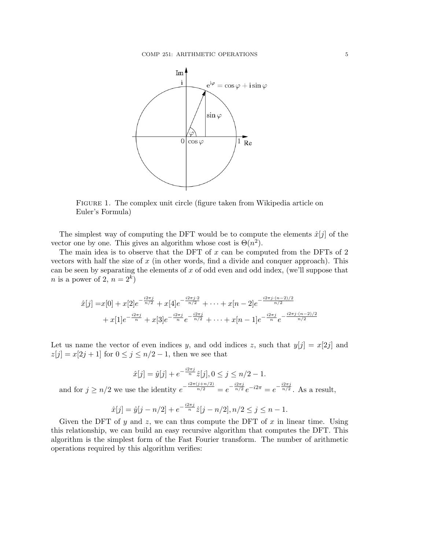

Figure 1. The complex unit circle (figure taken from Wikipedia article on Euler's Formula)

The simplest way of computing the DFT would be to compute the elements  $\hat{x}[j]$  of the vector one by one. This gives an algorithm whose cost is  $\Theta(n^2)$ .

The main idea is to observe that the DFT of x can be computed from the DFTs of 2 vectors with half the size of  $x$  (in other words, find a divide and conquer approach). This can be seen by separating the elements of  $x$  of odd even and odd index, (we'll suppose that *n* is a power of 2,  $n = 2<sup>k</sup>$ )

$$
\hat{x}[j] = x[0] + x[2]e^{-\frac{i2\pi j}{n/2}} + x[4]e^{-\frac{i2\pi j \cdot 2}{n/2}} + \dots + x[n-2]e^{-\frac{i2\pi j \cdot (n-2)/2}{n/2}} + x[1]e^{-\frac{i2\pi j}{n}} + x[3]e^{-\frac{i2\pi j}{n}}e^{-\frac{i2\pi j}{n/2}} + \dots + x[n-1]e^{-\frac{i2\pi j}{n}}e^{-\frac{i2\pi j \cdot (n-2)/2}{n/2}}
$$

Let us name the vector of even indices y, and odd indices z, such that  $y[j] = x[2j]$  and  $z[j] = x[2j + 1]$  for  $0 \le j \le n/2 - 1$ , then we see that

$$
\hat{x}[j] = \hat{y}[j] + e^{-\frac{i2\pi j}{n}} \hat{z}[j], 0 \le j \le n/2 - 1.
$$

and for  $j \geq n/2$  we use the identity  $e^{-\frac{i2\pi(j+n/2)}{n/2}} = e^{-\frac{i2\pi j}{n/2}}e^{-i2\pi} = e^{-\frac{i2\pi j}{n/2}}$ . As a result,

$$
\hat{x}[j] = \hat{y}[j - n/2] + e^{-\frac{i2\pi j}{n}} \hat{z}[j - n/2], n/2 \le j \le n - 1.
$$

Given the DFT of y and z, we can thus compute the DFT of x in linear time. Using this relationship, we can build an easy recursive algorithm that computes the DFT. This algorithm is the simplest form of the Fast Fourier transform. The number of arithmetic operations required by this algorithm verifies: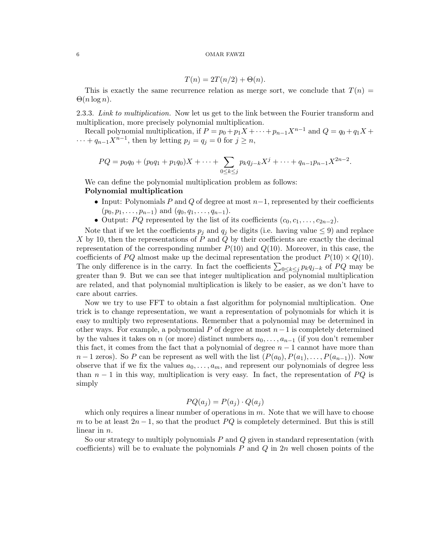#### 6 OMAR FAWZI

$$
T(n) = 2T(n/2) + \Theta(n).
$$

This is exactly the same recurrence relation as merge sort, we conclude that  $T(n)$  $\Theta(n \log n)$ .

2.3.3. Link to multiplication. Now let us get to the link between the Fourier transform and multiplication, more precisely polynomial multiplication.

Recall polynomial multiplication, if  $P = p_0 + p_1X + \cdots + p_{n-1}X^{n-1}$  and  $Q = q_0 + q_1X +$  $\cdots + q_{n-1}X^{n-1}$ , then by letting  $p_j = q_j = 0$  for  $j \geq n$ ,

$$
PQ = p_0q_0 + (p_0q_1 + p_1q_0)X + \cdots + \sum_{0 \le k \le j} p_kq_{j-k}X^j + \cdots + q_{n-1}p_{n-1}X^{2n-2}.
$$

We can define the polynomial multiplication problem as follows: Polynomial multiplication

- Input: Polynomials P and Q of degree at most  $n-1$ , represented by their coefficients  $(p_0, p_1, \ldots, p_{n-1})$  and  $(q_0, q_1, \ldots, q_{n-1})$ .
- Output: PQ represented by the list of its coefficients  $(c_0, c_1, \ldots, c_{2n-2})$ .

Note that if we let the coefficients  $p_i$  and  $q_i$  be digits (i.e. having value  $\leq 9$ ) and replace X by 10, then the representations of  $P$  and  $Q$  by their coefficients are exactly the decimal representation of the corresponding number  $P(10)$  and  $Q(10)$ . Moreover, in this case, the coefficients of PQ almost make up the decimal representation the product  $P(10) \times Q(10)$ . The only difference is in the carry. In fact the coefficients  $\sum_{0 \leq k \leq j} p_k q_{j-k}$  of PQ may be greater than 9. But we can see that integer multiplication and polynomial multiplication are related, and that polynomial multiplication is likely to be easier, as we don't have to care about carries.

Now we try to use FFT to obtain a fast algorithm for polynomial multiplication. One trick is to change representation, we want a representation of polynomials for which it is easy to multiply two representations. Remember that a polynomial may be determined in other ways. For example, a polynomial P of degree at most  $n-1$  is completely determined by the values it takes on n (or more) distinct numbers  $a_0, \ldots, a_{n-1}$  (if you don't remember this fact, it comes from the fact that a polynomial of degree  $n-1$  cannot have more than  $n-1$  zeros). So P can be represent as well with the list  $(P(a_0), P(a_1), \ldots, P(a_{n-1}))$ . Now observe that if we fix the values  $a_0, \ldots, a_m$ , and represent our polynomials of degree less than  $n-1$  in this way, multiplication is very easy. In fact, the representation of  $PQ$  is simply

$$
PQ(a_j) = P(a_j) \cdot Q(a_j)
$$

which only requires a linear number of operations in  $m$ . Note that we will have to choose m to be at least  $2n-1$ , so that the product PQ is completely determined. But this is still linear in *n*.

So our strategy to multiply polynomials  $P$  and  $Q$  given in standard representation (with coefficients) will be to evaluate the polynomials  $P$  and  $Q$  in  $2n$  well chosen points of the